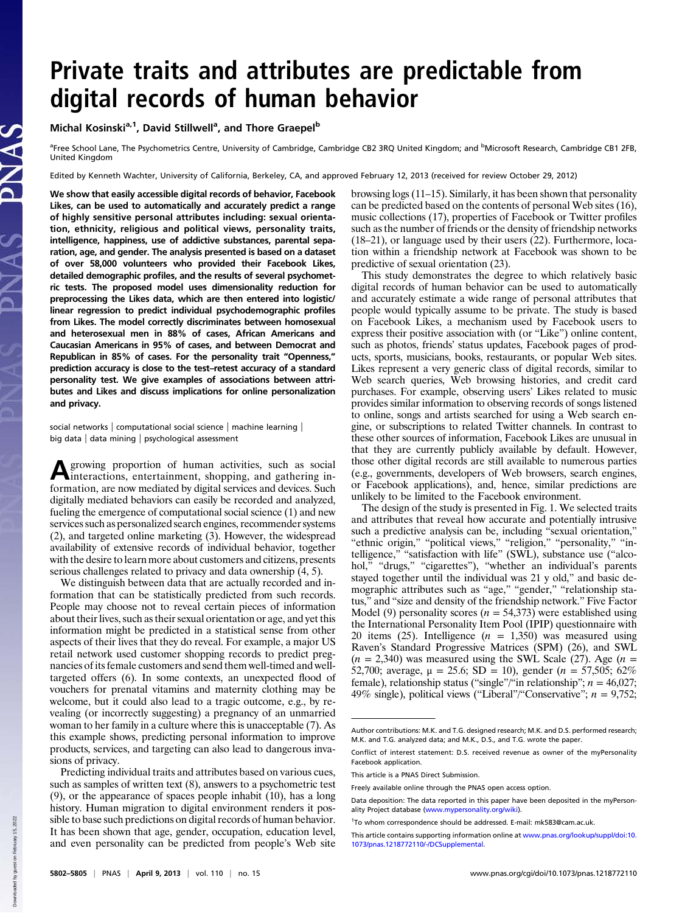## Private traits and attributes are predictable from digital records of human behavior

Michal Kosinski<sup>a, 1</sup>, David Stillwell<sup>a</sup>, and Thore Graepel<sup>b</sup>

<sup>a</sup>Free School Lane, The Psychometrics Centre, University of Cambridge, Cambridge CB2 3RQ United Kingdom; and <sup>b</sup>Microsoft Research, Cambridge CB1 2FB, United Kingdom

Edited by Kenneth Wachter, University of California, Berkeley, CA, and approved February 12, 2013 (received for review October 29, 2012)

We show that easily accessible digital records of behavior, Facebook Likes, can be used to automatically and accurately predict a range of highly sensitive personal attributes including: sexual orientation, ethnicity, religious and political views, personality traits, intelligence, happiness, use of addictive substances, parental separation, age, and gender. The analysis presented is based on a dataset of over 58,000 volunteers who provided their Facebook Likes, detailed demographic profiles, and the results of several psychometric tests. The proposed model uses dimensionality reduction for preprocessing the Likes data, which are then entered into logistic/ linear regression to predict individual psychodemographic profiles from Likes. The model correctly discriminates between homosexual and heterosexual men in 88% of cases, African Americans and Caucasian Americans in 95% of cases, and between Democrat and Republican in 85% of cases. For the personality trait "Openness," prediction accuracy is close to the test–retest accuracy of a standard personality test. We give examples of associations between attributes and Likes and discuss implications for online personalization and privacy.

social networks | computational social science | machine learning | big data | data mining | psychological assessment

Agrowing proportion of human activities, such as social interactions, entertainment, shopping, and gathering information, are now mediated by digital services and devices. Such digitally mediated behaviors can easily be recorded and analyzed, fueling the emergence of computational social science (1) and new services such as personalized search engines, recommender systems (2), and targeted online marketing (3). However, the widespread availability of extensive records of individual behavior, together with the desire to learn more about customers and citizens, presents serious challenges related to privacy and data ownership (4, 5).

We distinguish between data that are actually recorded and information that can be statistically predicted from such records. People may choose not to reveal certain pieces of information about their lives, such as their sexual orientation or age, and yet this information might be predicted in a statistical sense from other aspects of their lives that they do reveal. For example, a major US retail network used customer shopping records to predict pregnancies of its female customers and send them well-timed and welltargeted offers (6). In some contexts, an unexpected flood of vouchers for prenatal vitamins and maternity clothing may be welcome, but it could also lead to a tragic outcome, e.g., by revealing (or incorrectly suggesting) a pregnancy of an unmarried woman to her family in a culture where this is unacceptable (7). As this example shows, predicting personal information to improve products, services, and targeting can also lead to dangerous invasions of privacy.

browsing logs (11–15). Similarly, it has been shown that personality can be predicted based on the contents of personal Web sites (16), music collections (17), properties of Facebook or Twitter profiles such as the number of friends or the density of friendship networks (18–21), or language used by their users (22). Furthermore, location within a friendship network at Facebook was shown to be predictive of sexual orientation (23).

This study demonstrates the degree to which relatively basic digital records of human behavior can be used to automatically and accurately estimate a wide range of personal attributes that people would typically assume to be private. The study is based on Facebook Likes, a mechanism used by Facebook users to express their positive association with (or "Like") online content, such as photos, friends' status updates, Facebook pages of products, sports, musicians, books, restaurants, or popular Web sites. Likes represent a very generic class of digital records, similar to Web search queries, Web browsing histories, and credit card purchases. For example, observing users' Likes related to music provides similar information to observing records of songs listened to online, songs and artists searched for using a Web search engine, or subscriptions to related Twitter channels. In contrast to these other sources of information, Facebook Likes are unusual in that they are currently publicly available by default. However, those other digital records are still available to numerous parties (e.g., governments, developers of Web browsers, search engines, or Facebook applications), and, hence, similar predictions are unlikely to be limited to the Facebook environment.

The design of the study is presented in Fig. 1. We selected traits and attributes that reveal how accurate and potentially intrusive such a predictive analysis can be, including "sexual orientation," "ethnic origin," "political views," "religion," "personality," "intelligence," "satisfaction with life" (SWL), substance use ("alcohol," "drugs," "cigarettes"), "whether an individual's parents stayed together until the individual was 21 y old," and basic demographic attributes such as "age," "gender," "relationship status," and "size and density of the friendship network." Five Factor Model (9) personality scores ( $n = 54,373$ ) were established using the International Personality Item Pool (IPIP) questionnaire with 20 items (25). Intelligence  $(n = 1,350)$  was measured using Raven's Standard Progressive Matrices (SPM) (26), and SWL  $(n = 2,340)$  was measured using the SWL Scale (27). Age  $(n = 1,340)$ 52,700; average,  $\mu = 25.6$ ; SD = 10), gender ( $n = 57,505$ ; 62% female), relationship status ("single"/"in relationship";  $n = 46,027$ ; 49% single), political views ("Liberal"/"Conservative";  $n = 9,752$ ;

**Down** 

Predicting individual traits and attributes based on various cues, such as samples of written text (8), answers to a psychometric test (9), or the appearance of spaces people inhabit (10), has a long history. Human migration to digital environment renders it possible to base such predictions on digital records of human behavior. It has been shown that age, gender, occupation, education level, and even personality can be predicted from people's Web site

Author contributions: M.K. and T.G. designed research; M.K. and D.S. performed research; M.K. and T.G. analyzed data; and M.K., D.S., and T.G. wrote the paper.

Conflict of interest statement: D.S. received revenue as owner of the myPersonality Facebook application.

This article is a PNAS Direct Submission.

Freely available online through the PNAS open access option.

Data deposition: The data reported in this paper have been deposited in the myPersonality Project database [\(www.mypersonality.org/wiki](http://www.mypersonality.org/wiki)).

<sup>&</sup>lt;sup>1</sup>To whom correspondence should be addressed. E-mail: [mk583@cam.ac.uk](mailto:mk583@cam.ac.uk).

This article contains supporting information online at [www.pnas.org/lookup/suppl/doi:10.](http://www.pnas.org/lookup/suppl/doi:10.1073/pnas.1218772110/-/DCSupplemental) [1073/pnas.1218772110/-/DCSupplemental.](http://www.pnas.org/lookup/suppl/doi:10.1073/pnas.1218772110/-/DCSupplemental)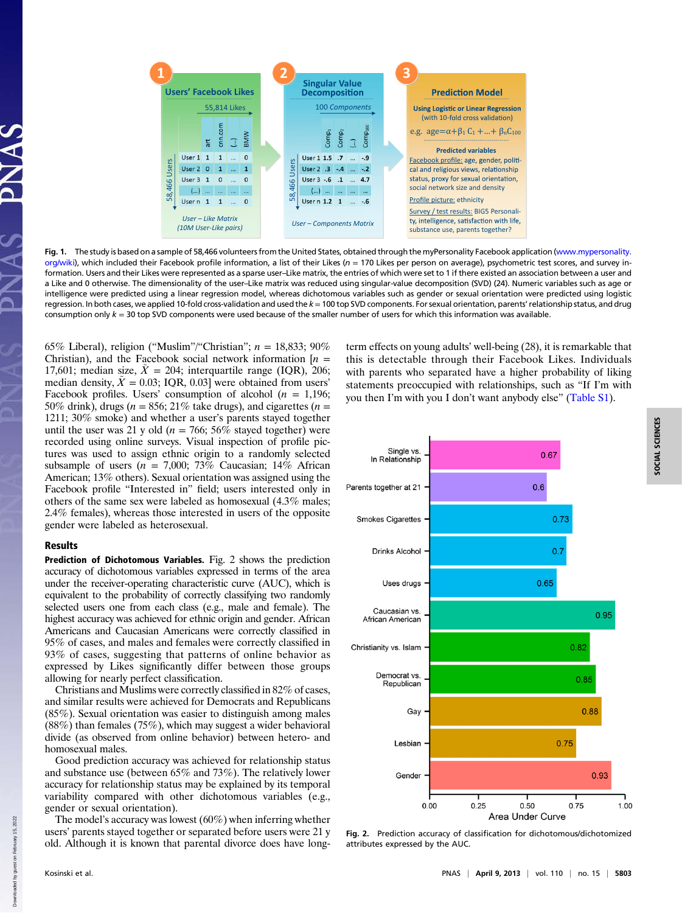

Fig. 1. The study is based on a sample of 58,466 volunteers from the United States, obtained through the myPersonality Facebook application [\(www.mypersonality.](http://www.mypersonality.org/wiki) [org/wiki\)](http://www.mypersonality.org/wiki), which included their Facebook profile information, a list of their Likes ( $n = 170$  Likes per person on average), psychometric test scores, and survey information. Users and their Likes were represented as a sparse user-Like matrix, the entries of which were set to 1 if there existed an association between a user and a Like and 0 otherwise. The dimensionality of the user–Like matrix was reduced using singular-value decomposition (SVD) (24). Numeric variables such as age or intelligence were predicted using a linear regression model, whereas dichotomous variables such as gender or sexual orientation were predicted using logistic regression. In both cases, we applied 10-fold cross-validation and used the  $k = 100$  top SVD components. For sexual orientation, parents' relationship status, and drug consumption only  $k = 30$  top SVD components were used because of the smaller number of users for which this information was available.

65% Liberal), religion ("Muslim"/"Christian";  $n = 18,833$ ; 90% Christian), and the Facebook social network information  $[n = 1]$ 17,601; median size,  $\overline{X} = 204$ ; interquartile range (IQR), 206; median density,  $\tilde{X} = 0.03$ ; IQR, 0.03] were obtained from users' Facebook profiles. Users' consumption of alcohol  $(n = 1,196;$ 50% drink), drugs ( $n = 856$ ; 21% take drugs), and cigarettes ( $n =$ 1211; 30% smoke) and whether a user's parents stayed together until the user was 21 y old ( $n = 766$ ; 56% stayed together) were recorded using online surveys. Visual inspection of profile pictures was used to assign ethnic origin to a randomly selected subsample of users  $(n = 7,000; 73\%$  Caucasian; 14% African American; 13% others). Sexual orientation was assigned using the Facebook profile "Interested in" field; users interested only in others of the same sex were labeled as homosexual (4.3% males; 2.4% females), whereas those interested in users of the opposite gender were labeled as heterosexual.

## Results

Prediction of Dichotomous Variables. Fig. 2 shows the prediction accuracy of dichotomous variables expressed in terms of the area under the receiver-operating characteristic curve (AUC), which is equivalent to the probability of correctly classifying two randomly selected users one from each class (e.g., male and female). The highest accuracy was achieved for ethnic origin and gender. African Americans and Caucasian Americans were correctly classified in 95% of cases, and males and females were correctly classified in 93% of cases, suggesting that patterns of online behavior as expressed by Likes significantly differ between those groups allowing for nearly perfect classification.

Christians and Muslims were correctly classified in 82% of cases, and similar results were achieved for Democrats and Republicans (85%). Sexual orientation was easier to distinguish among males  $(88%)$  than females  $(75%)$ , which may suggest a wider behavioral divide (as observed from online behavior) between hetero- and homosexual males.

Good prediction accuracy was achieved for relationship status and substance use (between 65% and 73%). The relatively lower accuracy for relationship status may be explained by its temporal variability compared with other dichotomous variables (e.g., gender or sexual orientation).

The model's accuracy was lowest (60%) when inferring whether users' parents stayed together or separated before users were 21 y old. Although it is known that parental divorce does have longterm effects on young adults' well-being (28), it is remarkable that this is detectable through their Facebook Likes. Individuals with parents who separated have a higher probability of liking statements preoccupied with relationships, such as "If I'm with you then I'm with you I don't want anybody else" [\(Table S1\)](http://www.pnas.org/lookup/suppl/doi:10.1073/pnas.1218772110/-/DCSupplemental/st01.pdf).



Fig. 2. Prediction accuracy of classification for dichotomous/dichotomized attributes expressed by the AUC.

Down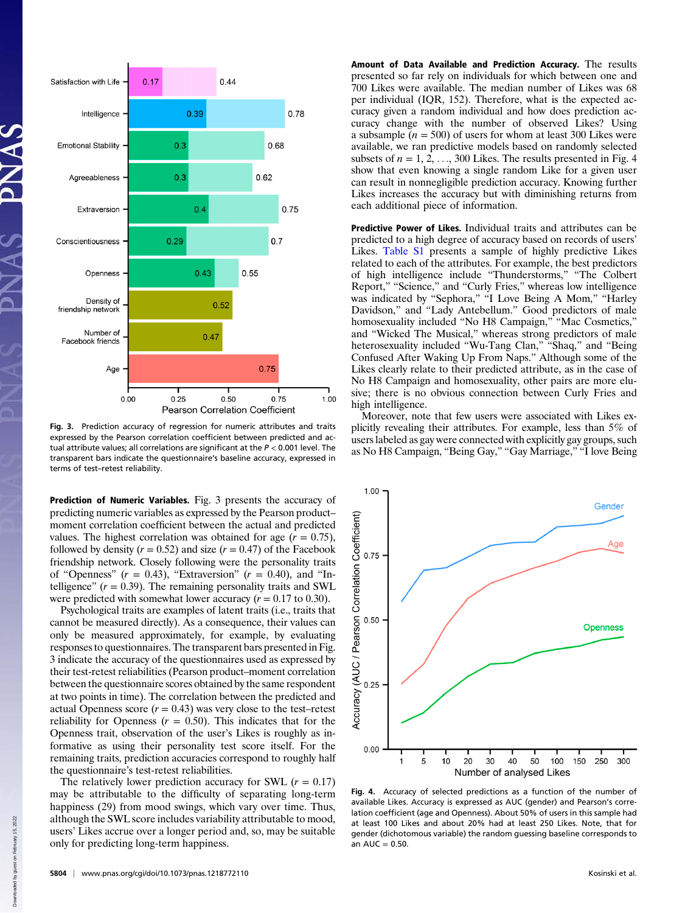

Fig. 3. Prediction accuracy of regression for numeric attributes and traits expressed by the Pearson correlation coefficient between predicted and actual attribute values; all correlations are significant at the  $P < 0.001$  level. The transparent bars indicate the questionnaire's baseline accuracy, expressed in terms of test–retest reliability.

Prediction of Numeric Variables. Fig. 3 presents the accuracy of predicting numeric variables as expressed by the Pearson product– moment correlation coefficient between the actual and predicted values. The highest correlation was obtained for age  $(r = 0.75)$ , followed by density ( $r = 0.52$ ) and size ( $r = 0.47$ ) of the Facebook friendship network. Closely following were the personality traits of "Openness"  $(r = 0.43)$ , "Extraversion"  $(r = 0.40)$ , and "Intelligence"  $(r = 0.39)$ . The remaining personality traits and SWL were predicted with somewhat lower accuracy  $(r = 0.17 \text{ to } 0.30)$ .

Psychological traits are examples of latent traits (i.e., traits that cannot be measured directly). As a consequence, their values can only be measured approximately, for example, by evaluating responses to questionnaires. The transparent bars presented in Fig. 3 indicate the accuracy of the questionnaires used as expressed by their test-retest reliabilities (Pearson product–moment correlation between the questionnaire scores obtained by the same respondent at two points in time). The correlation between the predicted and actual Openness score  $(r = 0.43)$  was very close to the test–retest reliability for Openness  $(r = 0.50)$ . This indicates that for the Openness trait, observation of the user's Likes is roughly as informative as using their personality test score itself. For the remaining traits, prediction accuracies correspond to roughly half the questionnaire's test-retest reliabilities.

The relatively lower prediction accuracy for SWL  $(r = 0.17)$ may be attributable to the difficulty of separating long-term happiness (29) from mood swings, which vary over time. Thus, although the SWL score includes variability attributable to mood, users' Likes accrue over a longer period and, so, may be suitable only for predicting long-term happiness.

Amount of Data Available and Prediction Accuracy. The results presented so far rely on individuals for which between one and 700 Likes were available. The median number of Likes was 68 per individual (IQR, 152). Therefore, what is the expected accuracy given a random individual and how does prediction accuracy change with the number of observed Likes? Using a subsample ( $n = 500$ ) of users for whom at least 300 Likes were available, we ran predictive models based on randomly selected subsets of  $n = 1, 2, \ldots, 300$  Likes. The results presented in Fig. 4 show that even knowing a single random Like for a given user can result in nonnegligible prediction accuracy. Knowing further Likes increases the accuracy but with diminishing returns from each additional piece of information.

Predictive Power of Likes. Individual traits and attributes can be predicted to a high degree of accuracy based on records of users' Likes. [Table S1](http://www.pnas.org/lookup/suppl/doi:10.1073/pnas.1218772110/-/DCSupplemental/st01.pdf) presents a sample of highly predictive Likes related to each of the attributes. For example, the best predictors of high intelligence include "Thunderstorms," "The Colbert Report," "Science," and "Curly Fries," whereas low intelligence was indicated by "Sephora," "I Love Being A Mom," "Harley Davidson," and "Lady Antebellum." Good predictors of male homosexuality included "No H8 Campaign," "Mac Cosmetics," and "Wicked The Musical," whereas strong predictors of male heterosexuality included "Wu-Tang Clan," "Shaq," and "Being Confused After Waking Up From Naps." Although some of the Likes clearly relate to their predicted attribute, as in the case of No H8 Campaign and homosexuality, other pairs are more elusive; there is no obvious connection between Curly Fries and high intelligence.

Moreover, note that few users were associated with Likes explicitly revealing their attributes. For example, less than 5% of users labeled as gay were connected with explicitly gay groups, such as No H8 Campaign, "Being Gay," "Gay Marriage," "I love Being



Fig. 4. Accuracy of selected predictions as a function of the number of available Likes. Accuracy is expressed as AUC (gender) and Pearson's correlation coefficient (age and Openness). About 50% of users in this sample had at least 100 Likes and about 20% had at least 250 Likes. Note, that for gender (dichotomous variable) the random guessing baseline corresponds to an  $AUC = 0.50$ .

Down